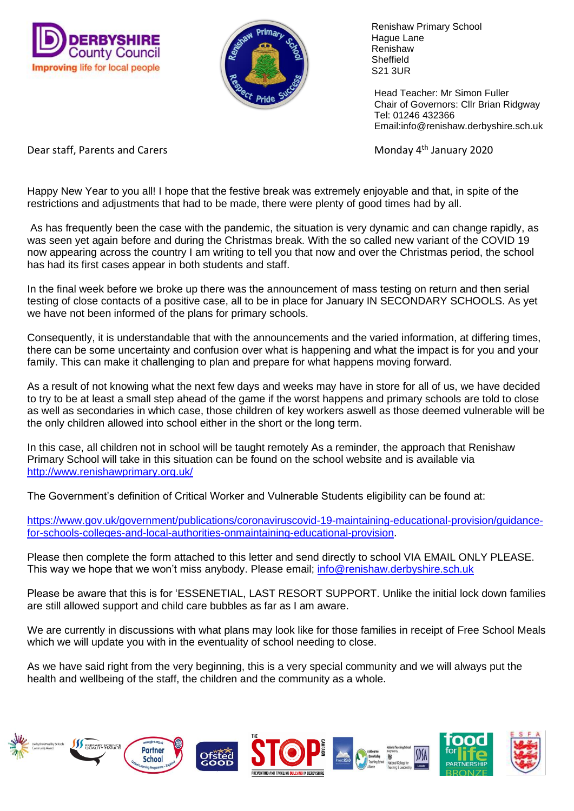



 Renishaw Primary School Hague Lane Renishaw **Sheffield** S21 3UR

 Head Teacher: Mr Simon Fuller Chair of Governors: Cllr Brian Ridgway Tel: 01246 432366 Email:info@renishaw.derbyshire.sch.uk

Dear staff, Parents and Carers Monday 4<sup>th</sup> January 2020

Happy New Year to you all! I hope that the festive break was extremely enjoyable and that, in spite of the restrictions and adjustments that had to be made, there were plenty of good times had by all.

As has frequently been the case with the pandemic, the situation is very dynamic and can change rapidly, as was seen yet again before and during the Christmas break. With the so called new variant of the COVID 19 now appearing across the country I am writing to tell you that now and over the Christmas period, the school has had its first cases appear in both students and staff.

In the final week before we broke up there was the announcement of mass testing on return and then serial testing of close contacts of a positive case, all to be in place for January IN SECONDARY SCHOOLS. As yet we have not been informed of the plans for primary schools.

Consequently, it is understandable that with the announcements and the varied information, at differing times, there can be some uncertainty and confusion over what is happening and what the impact is for you and your family. This can make it challenging to plan and prepare for what happens moving forward.

As a result of not knowing what the next few days and weeks may have in store for all of us, we have decided to try to be at least a small step ahead of the game if the worst happens and primary schools are told to close as well as secondaries in which case, those children of key workers aswell as those deemed vulnerable will be the only children allowed into school either in the short or the long term.

In this case, all children not in school will be taught remotely As a reminder, the approach that Renishaw Primary School will take in this situation can be found on the school website and is available via <http://www.renishawprimary.org.uk/>

The Government's definition of Critical Worker and Vulnerable Students eligibility can be found at:

[https://www.gov.uk/government/publications/coronaviruscovid-19-maintaining-educational-provision/guidance](https://www.gov.uk/government/publications/coronaviruscovid-19-maintaining-educational-provision/guidance-for-schools-colleges-and-local-authorities-onmaintaining-educational-provision)[for-schools-colleges-and-local-authorities-onmaintaining-educational-provision.](https://www.gov.uk/government/publications/coronaviruscovid-19-maintaining-educational-provision/guidance-for-schools-colleges-and-local-authorities-onmaintaining-educational-provision)

Please then complete the form attached to this letter and send directly to school VIA EMAIL ONLY PLEASE. This way we hope that we won't miss anybody. Please email; [info@renishaw.derbyshire.sch.uk](mailto:info@renishaw.derbyshire.sch.uk)

Please be aware that this is for 'ESSENETIAL, LAST RESORT SUPPORT. Unlike the initial lock down families are still allowed support and child care bubbles as far as I am aware.

We are currently in discussions with what plans may look like for those families in receipt of Free School Meals which we will update you with in the eventuality of school needing to close.

As we have said right from the very beginning, this is a very special community and we will always put the health and wellbeing of the staff, the children and the community as a whole.